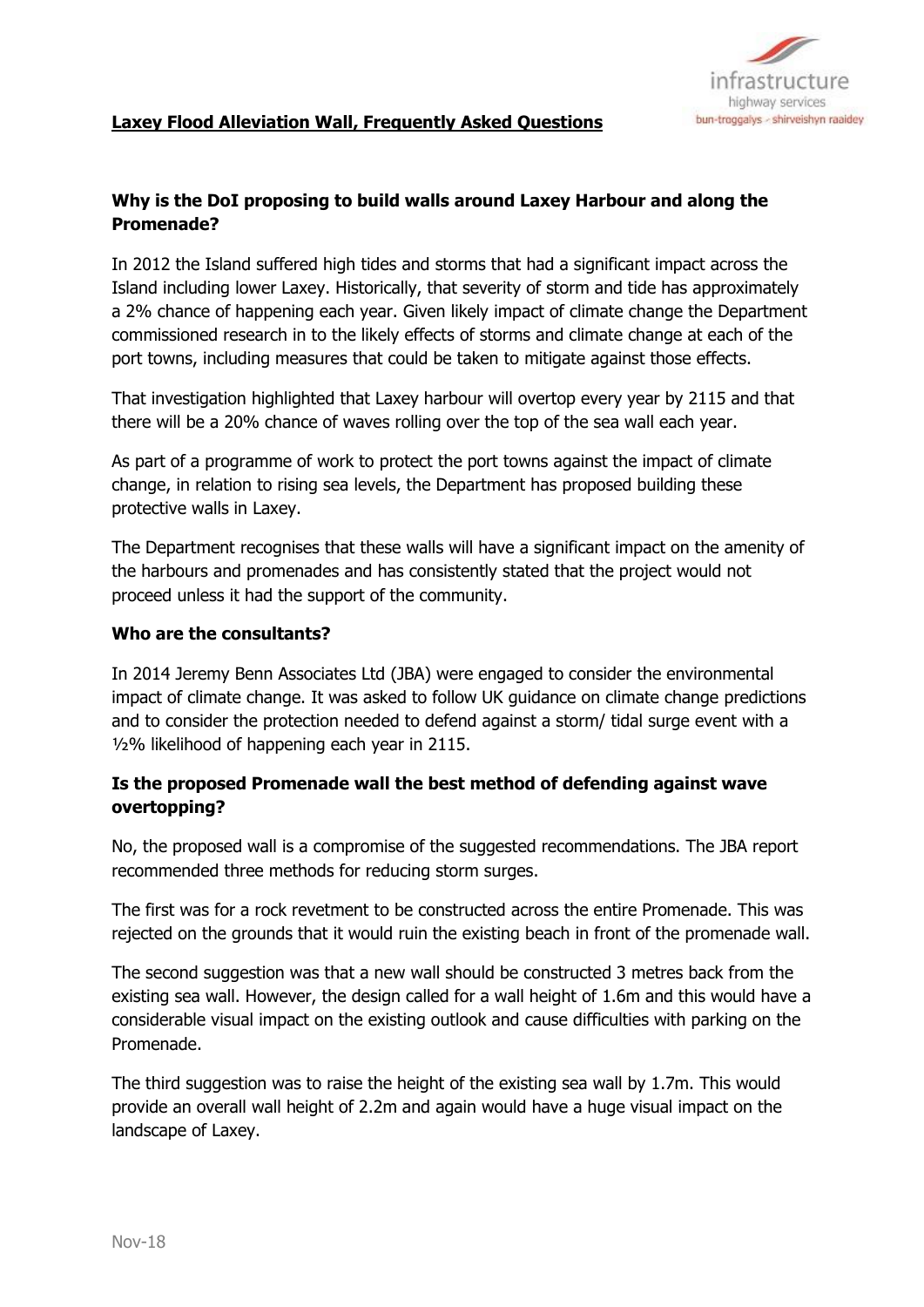

# **Why is the DoI proposing to build walls around Laxey Harbour and along the Promenade?**

In 2012 the Island suffered high tides and storms that had a significant impact across the Island including lower Laxey. Historically, that severity of storm and tide has approximately a 2% chance of happening each year. Given likely impact of climate change the Department commissioned research in to the likely effects of storms and climate change at each of the port towns, including measures that could be taken to mitigate against those effects.

That investigation highlighted that Laxey harbour will overtop every year by 2115 and that there will be a 20% chance of waves rolling over the top of the sea wall each year.

As part of a programme of work to protect the port towns against the impact of climate change, in relation to rising sea levels, the Department has proposed building these protective walls in Laxey.

The Department recognises that these walls will have a significant impact on the amenity of the harbours and promenades and has consistently stated that the project would not proceed unless it had the support of the community.

#### **Who are the consultants?**

In 2014 Jeremy Benn Associates Ltd (JBA) were engaged to consider the environmental impact of climate change. It was asked to follow UK guidance on climate change predictions and to consider the protection needed to defend against a storm/ tidal surge event with a ½% likelihood of happening each year in 2115.

# **Is the proposed Promenade wall the best method of defending against wave overtopping?**

No, the proposed wall is a compromise of the suggested recommendations. The JBA report recommended three methods for reducing storm surges.

The first was for a rock revetment to be constructed across the entire Promenade. This was rejected on the grounds that it would ruin the existing beach in front of the promenade wall.

The second suggestion was that a new wall should be constructed 3 metres back from the existing sea wall. However, the design called for a wall height of 1.6m and this would have a considerable visual impact on the existing outlook and cause difficulties with parking on the Promenade.

The third suggestion was to raise the height of the existing sea wall by 1.7m. This would provide an overall wall height of 2.2m and again would have a huge visual impact on the landscape of Laxey.